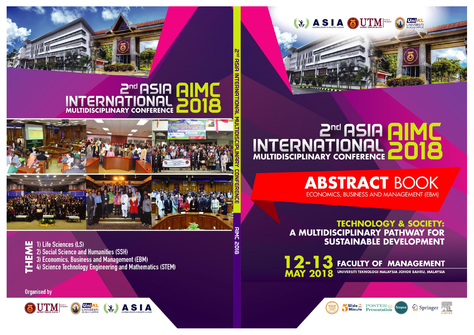

# **ENTERNATIONAL POIS**

**ABSTRACT BOOK** ECONOMICS, BUSINESS AND MANAGEMENT (EBM)

**TECHNOLOGY & SOCIETY:** A MULTIDISCIPLINARY PATHWAY FOR **SUSTAINABLE DEVELOPMENT** 

12-1 **FACULTY OF MANAGEMENT** 3 **MAY 2018** UNIVERSITI TEKNOLOGI MALAYSIA JOHOR BAHRU, MALAYSIA











**P<sup>nd</sup> RSIA INTERNATIONAL** 

AC 2018



# **DMIA AIZA™S**<br>AINOITAMAE **DISCIPLINARY CONFERENCE**



1) Life Sciences (LS) 2) Social Science and Humanities (SSH) 3) Economics, Business and Management (EBM)<br>4) Science Technology Engineering and Mathematics (STEM)

**Organised by** 

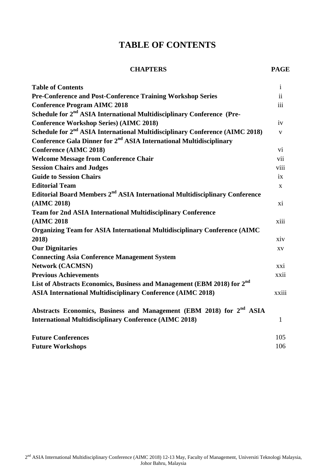## **TABLE OF CONTENTS**

#### **CHAPTERS PAGE**

| <b>Table of Contents</b>                                                                 | $\mathbf{i}$  |
|------------------------------------------------------------------------------------------|---------------|
| <b>Pre-Conference and Post-Conference Training Workshop Series</b>                       | $\mathbf{ii}$ |
| <b>Conference Program AIMC 2018</b>                                                      | iii           |
| Schedule for 2 <sup>nd</sup> ASIA International Multidisciplinary Conference (Pre-       |               |
| <b>Conference Workshop Series) (AIMC 2018)</b>                                           | iv            |
| Schedule for 2 <sup>nd</sup> ASIA International Multidisciplinary Conference (AIMC 2018) | $\mathbf{V}$  |
| Conference Gala Dinner for 2 <sup>nd</sup> ASIA International Multidisciplinary          |               |
| <b>Conference (AIMC 2018)</b>                                                            | $\mathbf{vi}$ |
| <b>Welcome Message from Conference Chair</b>                                             | vii           |
| <b>Session Chairs and Judges</b>                                                         | viii          |
| <b>Guide to Session Chairs</b>                                                           | ix            |
| <b>Editorial Team</b>                                                                    | $\mathbf{X}$  |
| Editorial Board Members 2 <sup>nd</sup> ASIA International Multidisciplinary Conference  |               |
| (AIMC 2018)                                                                              | xi            |
| <b>Team for 2nd ASIA International Multidisciplinary Conference</b>                      |               |
| (AIMC 2018                                                                               | xiii          |
| Organizing Team for ASIA International Multidisciplinary Conference (AIMC                |               |
| 2018)                                                                                    | xiv           |
| <b>Our Dignitaries</b>                                                                   | XV            |
| <b>Connecting Asia Conference Management System</b>                                      |               |
| <b>Network (CACMSN)</b>                                                                  | xxi           |
| <b>Previous Achievements</b>                                                             | xxii          |
| List of Abstracts Economics, Business and Management (EBM 2018) for 2 <sup>nd</sup>      |               |
| <b>ASIA International Multidisciplinary Conference (AIMC 2018)</b>                       | xxiii         |
| Abstracts Economics, Business and Management (EBM 2018) for 2 <sup>nd</sup> ASIA         |               |
| <b>International Multidisciplinary Conference (AIMC 2018)</b>                            | $\mathbf{1}$  |
| <b>Future Conferences</b>                                                                | 105           |
| <b>Future Workshops</b>                                                                  | 106           |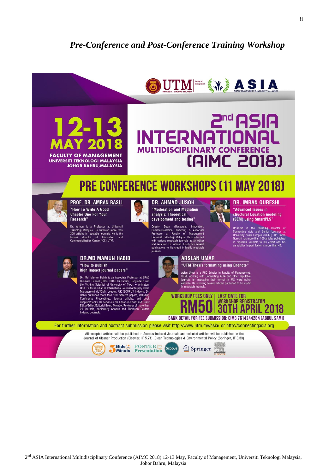### **Pre-Conference and Post-Conference Training Workshop**

## UTME SILA

## 2nd ASIA **JTERNATIO MULTIDISCIPL (AIMC 2018)**

## **PRE CONFERENCE WORKSHOPS (11 MAY 2018)**

Research'

#### PROF. DR. AMRAN RASLI "How To Write A Good **Chapter One For Your**

 $2 - 1$ 

**FACULTY OF MANAGEMENT** 

**UNIVERSITI TEKNOLOGI MALAYSIA JOHOR BAHRU, MALAYSIA** 

Dr. Amran is a Professor at Universiti<br>Teknologi Malaysia. He authored more than<br>300 articles in reputable journals. He is the<br>former director of Innovation and<br>Commercialization Center (ICC) UTM.

"How to publish

20 journals, particularly

 $n_r$ 

**DR.MD MAMUN HABIB** 

high Impact journal papers"

Md. Mamun Habib is an Associate Professor at BRAC Dr. with maintain Fashing Bankssociate Privessor at<br>Business School (BBS), BRAC University, Banglades<br>the Visiting Scientist of University of Texas – Arlit<br>USA. Editor-in-Chief of International Journal of Supply<br>Management

punnaneu more man Tou research papers, including<br>res/books. He serves as the Editor-in-Chief/Lead Gue<br>rs/books. He serves as the Editor-in-Chief/Lead Gue<br>//Editor/Editorial Board Member/Reviewer of more thurnals, particula

nublished more than 100 research pape



understate<br>Jladesh\_and<br>- Arlington,

#### **DR. AHMAD JUSOH**

"Moderation and Mediation analysis: Theoretical development and testing

(Research Dean Deputy<br>Commercialization, Network) & Associate<br>Professor at Faculty of Management<br>Universiti Teknologi Malaysia. He is attached<br>with various reputable journals as an editor<br>and reviewer. Dr. Ahmad Jusoh has several<br>publica



#### **ARSLAN UMAR** "UTM Thesis formatting using Endnote"

Aslan Umer is a PhD Scholar in Faculty of Manage Asian online is a rino soliton metalling ASIA and other reputable<br>JUTM, working with Connecting ASIA and other reputable<br>journals for managing their format in MS word using<br>endnote. He is having several articles published

**WORKSHOP FEES ONLY I LAST DATE FOR WORKSHOP REGISTRATON** 

**AND** 

**30TH APRIL 2018 BANK DETAIL FOR FEE SUBMISSION: CIMB 7614244284 (ABDUL SAMI)** 

**DR. IMRAN QURESHI** 

"Advanced Issues in structural Equation modeling

(SEM) using SmartPLS"

Dr.Imran is the founding Director of Connecting Asia and Senior Lecturer at University Kuala Lumpur (UniKL). Dr. Imran Qureshi has more than 100 articles published in preputable journals to his credit and his cumulative Im

For further information and abstract submission please visit http://www.utm.my/asia/ or http://connectingasia.org

All accepted articles will be published in Scopus Indexed Journals and selected articles will be published in the Journal of Cleaner Production (Elsevier, IF 5.71), Clean Technologies & Environmental Policy (Springer, IF 3.33)